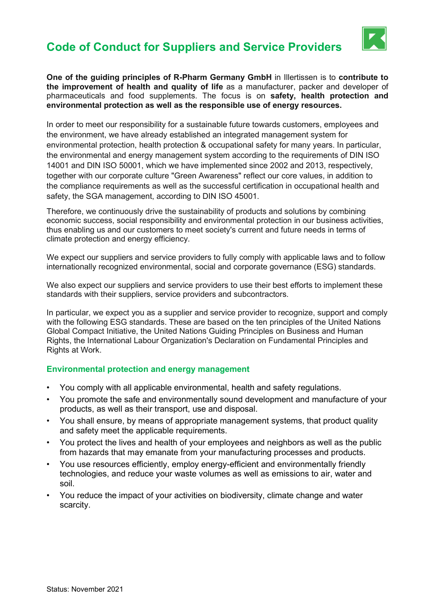## Code of Conduct for Suppliers and Service Providers



One of the guiding principles of R-Pharm Germany GmbH in Illertissen is to contribute to the improvement of health and quality of life as a manufacturer, packer and developer of pharmaceuticals and food supplements. The focus is on safety, health protection and environmental protection as well as the responsible use of energy resources.

In order to meet our responsibility for a sustainable future towards customers, employees and the environment, we have already established an integrated management system for environmental protection, health protection & occupational safety for many years. In particular, the environmental and energy management system according to the requirements of DIN ISO 14001 and DIN ISO 50001, which we have implemented since 2002 and 2013, respectively, together with our corporate culture "Green Awareness" reflect our core values, in addition to the compliance requirements as well as the successful certification in occupational health and safety, the SGA management, according to DIN ISO 45001.

Therefore, we continuously drive the sustainability of products and solutions by combining economic success, social responsibility and environmental protection in our business activities, thus enabling us and our customers to meet society's current and future needs in terms of climate protection and energy efficiency.

We expect our suppliers and service providers to fully comply with applicable laws and to follow internationally recognized environmental, social and corporate governance (ESG) standards.

We also expect our suppliers and service providers to use their best efforts to implement these standards with their suppliers, service providers and subcontractors.

In particular, we expect you as a supplier and service provider to recognize, support and comply with the following ESG standards. These are based on the ten principles of the United Nations Global Compact Initiative, the United Nations Guiding Principles on Business and Human Rights, the International Labour Organization's Declaration on Fundamental Principles and Rights at Work.

### Environmental protection and energy management

- You comply with all applicable environmental, health and safety regulations.
- You promote the safe and environmentally sound development and manufacture of your products, as well as their transport, use and disposal.
- You shall ensure, by means of appropriate management systems, that product quality and safety meet the applicable requirements.
- You protect the lives and health of your employees and neighbors as well as the public from hazards that may emanate from your manufacturing processes and products.
- You use resources efficiently, employ energy-efficient and environmentally friendly technologies, and reduce your waste volumes as well as emissions to air, water and soil.
- You reduce the impact of your activities on biodiversity, climate change and water scarcity.